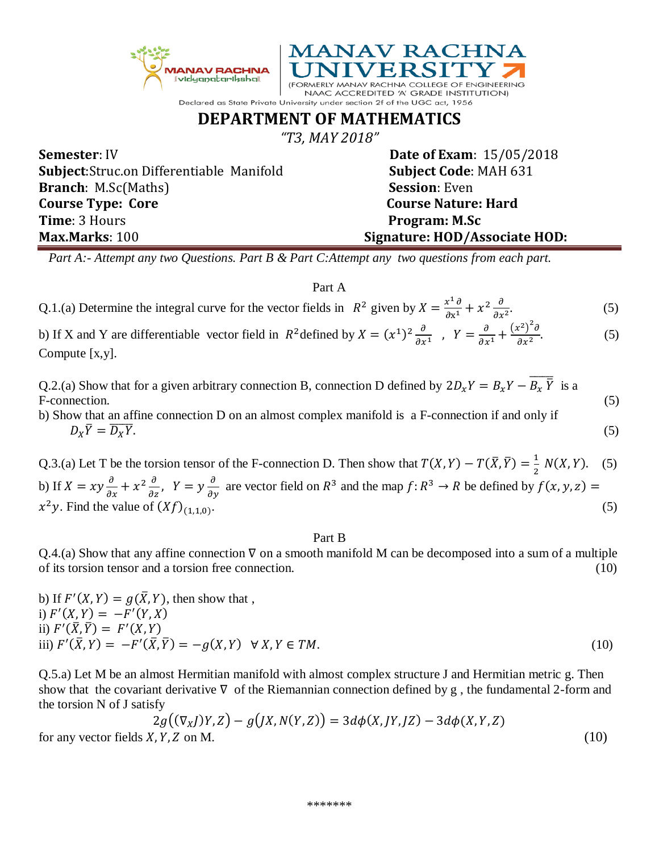

| <b>Subject:</b> Struc.on Differentiable Manifold | <b>Subject Code: MAH 631</b>  |
|--------------------------------------------------|-------------------------------|
| <b>Branch</b> : M.Sc(Maths)                      | <b>Session: Even</b>          |
| <b>Course Type: Core</b>                         | <b>Course Nature: Hard</b>    |
| <b>Time</b> : 3 Hours                            | Program: M.Sc                 |
| <b>Max.Marks</b> : 100                           | Signature: HOD/Associate HOD: |
|                                                  |                               |

 *Part A:- Attempt any two Questions. Part B & Part C:Attempt any two questions from each part.* 

## Part A

| Q.1.(a) Determine the integral curve for the vector fields in $R^2$ given by $X = \frac{x^1 \partial}{\partial x^1} + x^2 \frac{\partial}{\partial x^2}$ . | (5) |
|------------------------------------------------------------------------------------------------------------------------------------------------------------|-----|
|                                                                                                                                                            |     |

b) If X and Y are differentiable vector field in  $R^2$  defined by  $X = (x^1)^2 \frac{\partial}{\partial x^2}$  $\frac{\partial}{\partial x^1}$ ,  $Y = \frac{\partial}{\partial x}$  $\frac{\partial}{\partial x^1} + \frac{(x^2)^2 \partial}{\partial x^2}$  $\partial x^2$  $(5)$ Compute [x,y].

Q.2.(a) Show that for a given arbitrary connection B, connection D defined by  $2D_xY = B_xY - \overline{B_x\bar{Y}}$  is a F-connection. (5)

b) Show that an affine connection D on an almost complex manifold is a F-connection if and only if  $D_X\overline{Y} = \overline{D_X}$  $\overline{Y}$ . (5)

Q.3.(a) Let T be the torsion tensor of the F-connection D. Then show that  $T(X, Y) - T(\bar{X}, \bar{Y}) = \frac{1}{2}$  $\frac{1}{2}$  N(X, Y). (5) b) If  $X = xy \frac{\partial}{\partial x} + x^2 \frac{\partial}{\partial z}$ ,  $Y = y \frac{\partial}{\partial y}$  are vector field on  $R^3$  and the map  $f: R^3 \to R$  be defined by  $f(x, y, z) =$  $x^2y$ . Find the value of  $(Xf)_{(1,1,0)}$ .  $(5)$ 

## Part B

Q.4.(a) Show that any affine connection  $\nabla$  on a smooth manifold M can be decomposed into a sum of a multiple of its torsion tensor and a torsion free connection. (10)

b) If 
$$
F'(X, Y) = g(\overline{X}, Y)
$$
, then show that,  
\ni)  $F'(X, Y) = -F'(Y, X)$   
\nii)  $F'(\overline{X}, \overline{Y}) = F'(X, Y)$   
\niii)  $F'(\overline{X}, Y) = -F'(\overline{X}, \overline{Y}) = -g(X, Y) \quad \forall X, Y \in TM.$  (10)

Q.5.a) Let M be an almost Hermitian manifold with almost complex structure J and Hermitian metric g. Then show that the covariant derivative  $\nabla$  of the Riemannian connection defined by g, the fundamental 2-form and the torsion N of J satisfy

$$
2g((\nabla_XJ)Y,Z) - g(JX,N(Y,Z)) = 3d\phi(X,JY,JZ) - 3d\phi(X,Y,Z)
$$
  
(10)

for any vector fields  $X$ ,